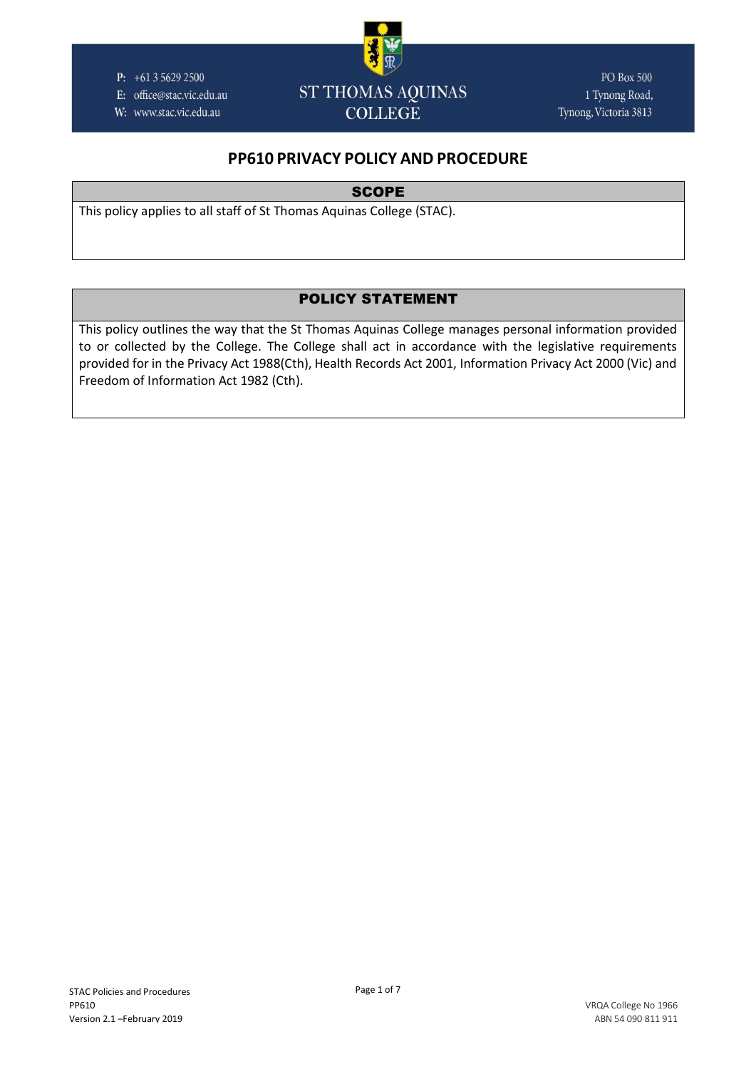P:  $+61356292500$ 

E: office@stac.vic.edu.au

W: www.stac.vic.edu.au



**PO Box 500** 1 Tynong Road, Tynong, Victoria 3813

# **PP610 PRIVACY POLICY AND PROCEDURE**

**SCOPE** 

This policy applies to all staff of St Thomas Aquinas College (STAC).

## POLICY STATEMENT

This policy outlines the way that the St Thomas Aquinas College manages personal information provided to or collected by the College. The College shall act in accordance with the legislative requirements provided for in the Privacy Act 1988(Cth), Health Records Act 2001, Information Privacy Act 2000 (Vic) and Freedom of Information Act 1982 (Cth).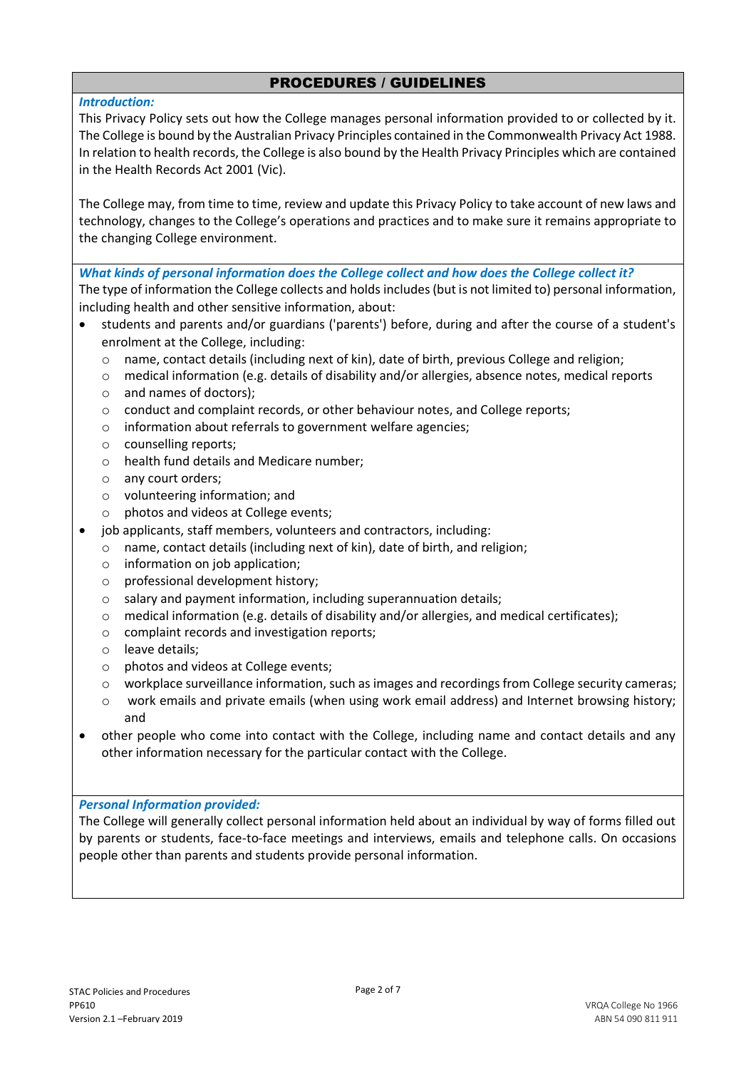## PROCEDURES / GUIDELINES

## *Introduction:*

This Privacy Policy sets out how the College manages personal information provided to or collected by it. The College is bound by the Australian Privacy Principles contained in the Commonwealth Privacy Act 1988. In relation to health records, the College is also bound by the Health Privacy Principles which are contained in the Health Records Act 2001 (Vic).

The College may, from time to time, review and update this Privacy Policy to take account of new laws and technology, changes to the College's operations and practices and to make sure it remains appropriate to the changing College environment.

*What kinds of personal information does the College collect and how does the College collect it?* The type of information the College collects and holds includes (but is not limited to) personal information,

including health and other sensitive information, about:

- students and parents and/or guardians ('parents') before, during and after the course of a student's enrolment at the College, including:
	- $\circ$  name, contact details (including next of kin), date of birth, previous College and religion;
	- o medical information (e.g. details of disability and/or allergies, absence notes, medical reports
	- o and names of doctors);
	- o conduct and complaint records, or other behaviour notes, and College reports;
	- o information about referrals to government welfare agencies;
	- o counselling reports;
	- o health fund details and Medicare number;
	- o any court orders;
	- o volunteering information; and
	- o photos and videos at College events;
	- job applicants, staff members, volunteers and contractors, including:
	- o name, contact details (including next of kin), date of birth, and religion;
	- $\circ$  information on job application:
	- o professional development history;
	- $\circ$  salary and payment information, including superannuation details:
	- $\circ$  medical information (e.g. details of disability and/or allergies, and medical certificates);
	- o complaint records and investigation reports;
	- o leave details;
	- o photos and videos at College events;
	- o workplace surveillance information, such as images and recordings from College security cameras;
	- o work emails and private emails (when using work email address) and Internet browsing history; and
- other people who come into contact with the College, including name and contact details and any other information necessary for the particular contact with the College.

## *Personal Information provided:*

The College will generally collect personal information held about an individual by way of forms filled out by parents or students, face-to-face meetings and interviews, emails and telephone calls. On occasions people other than parents and students provide personal information.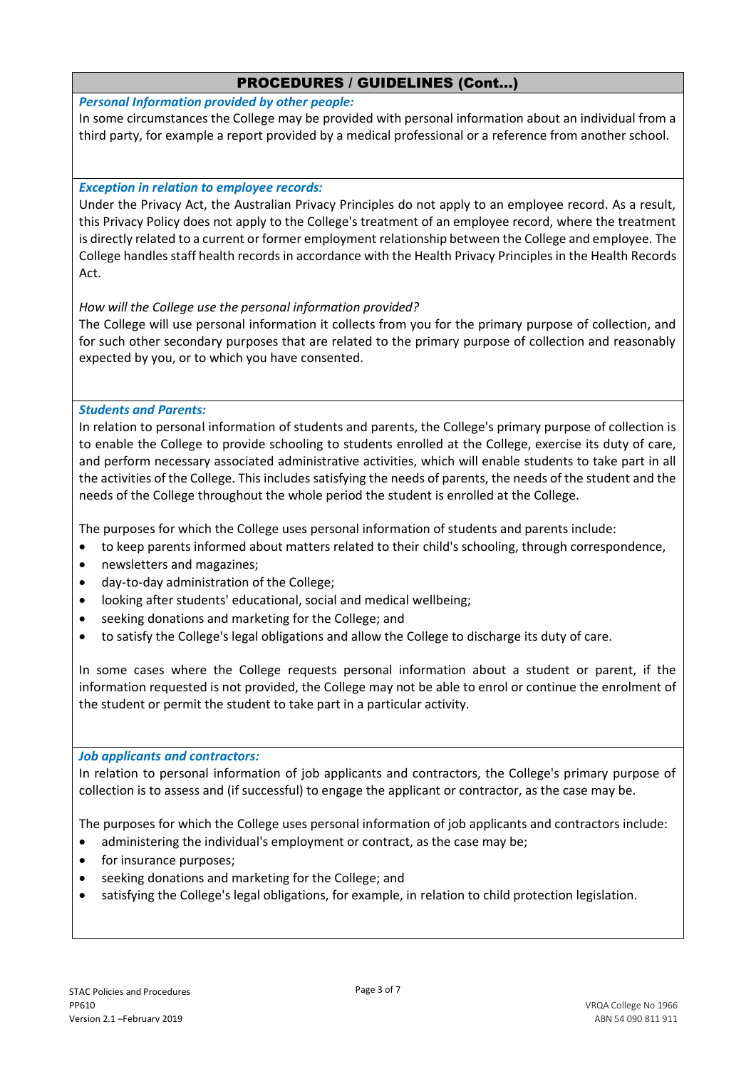*Personal Information provided by other people:*

In some circumstances the College may be provided with personal information about an individual from a third party, for example a report provided by a medical professional or a reference from another school.

## *Exception in relation to employee records:*

Under the Privacy Act, the Australian Privacy Principles do not apply to an employee record. As a result, this Privacy Policy does not apply to the College's treatment of an employee record, where the treatment is directly related to a current or former employment relationship between the College and employee. The College handles staff health records in accordance with the Health Privacy Principles in the Health Records Act.

### *How will the College use the personal information provided?*

The College will use personal information it collects from you for the primary purpose of collection, and for such other secondary purposes that are related to the primary purpose of collection and reasonably expected by you, or to which you have consented.

### *Students and Parents:*

In relation to personal information of students and parents, the College's primary purpose of collection is to enable the College to provide schooling to students enrolled at the College, exercise its duty of care, and perform necessary associated administrative activities, which will enable students to take part in all the activities of the College. This includes satisfying the needs of parents, the needs of the student and the needs of the College throughout the whole period the student is enrolled at the College.

The purposes for which the College uses personal information of students and parents include:

- to keep parents informed about matters related to their child's schooling, through correspondence,
- newsletters and magazines;
- day-to-day administration of the College;
- looking after students' educational, social and medical wellbeing;
- seeking donations and marketing for the College; and
- to satisfy the College's legal obligations and allow the College to discharge its duty of care.

In some cases where the College requests personal information about a student or parent, if the information requested is not provided, the College may not be able to enrol or continue the enrolment of the student or permit the student to take part in a particular activity.

#### *Job applicants and contractors:*

In relation to personal information of job applicants and contractors, the College's primary purpose of collection is to assess and (if successful) to engage the applicant or contractor, as the case may be.

The purposes for which the College uses personal information of job applicants and contractors include:

- administering the individual's employment or contract, as the case may be;
- for insurance purposes;
- seeking donations and marketing for the College; and
- satisfying the College's legal obligations, for example, in relation to child protection legislation.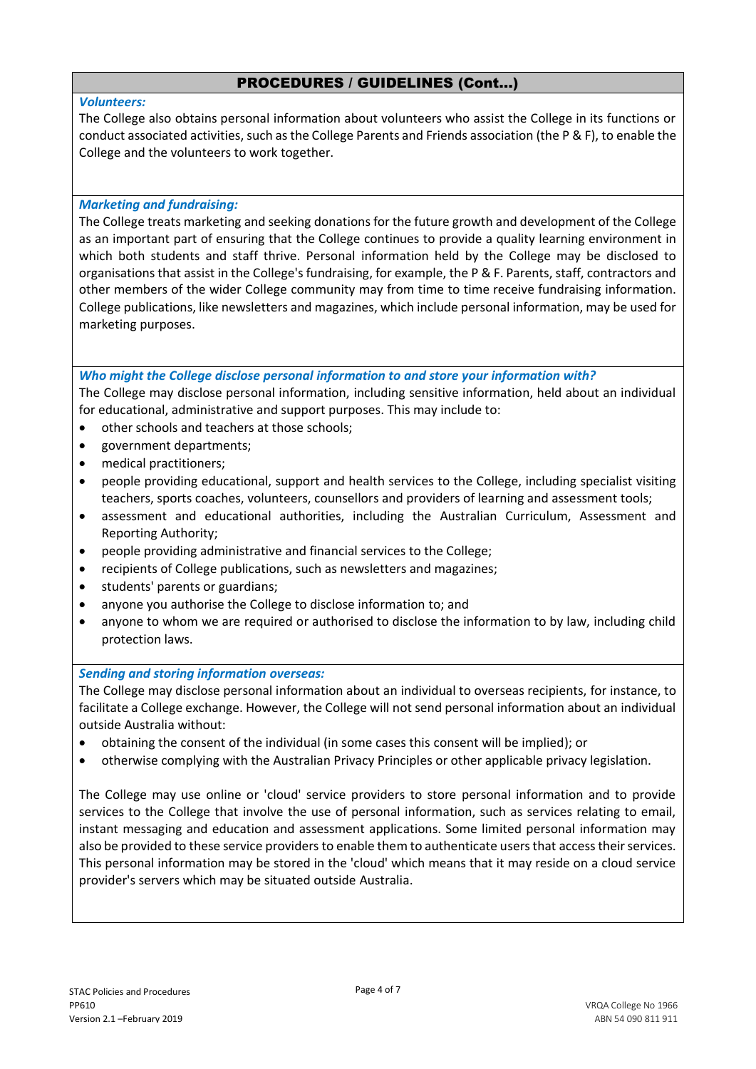### *Volunteers:*

The College also obtains personal information about volunteers who assist the College in its functions or conduct associated activities, such as the College Parents and Friends association (the P & F), to enable the College and the volunteers to work together.

#### *Marketing and fundraising:*

The College treats marketing and seeking donations for the future growth and development of the College as an important part of ensuring that the College continues to provide a quality learning environment in which both students and staff thrive. Personal information held by the College may be disclosed to organisations that assist in the College's fundraising, for example, the P & F. Parents, staff, contractors and other members of the wider College community may from time to time receive fundraising information. College publications, like newsletters and magazines, which include personal information, may be used for marketing purposes.

### *Who might the College disclose personal information to and store your information with?*

The College may disclose personal information, including sensitive information, held about an individual for educational, administrative and support purposes. This may include to:

- other schools and teachers at those schools;
- government departments;
- medical practitioners;
- people providing educational, support and health services to the College, including specialist visiting teachers, sports coaches, volunteers, counsellors and providers of learning and assessment tools;
- assessment and educational authorities, including the Australian Curriculum, Assessment and Reporting Authority;
- people providing administrative and financial services to the College;
- recipients of College publications, such as newsletters and magazines;
- students' parents or guardians;
- anyone you authorise the College to disclose information to; and
- anyone to whom we are required or authorised to disclose the information to by law, including child protection laws.

## *Sending and storing information overseas:*

The College may disclose personal information about an individual to overseas recipients, for instance, to facilitate a College exchange. However, the College will not send personal information about an individual outside Australia without:

- obtaining the consent of the individual (in some cases this consent will be implied); or
- otherwise complying with the Australian Privacy Principles or other applicable privacy legislation.

The College may use online or 'cloud' service providers to store personal information and to provide services to the College that involve the use of personal information, such as services relating to email, instant messaging and education and assessment applications. Some limited personal information may also be provided to these service providers to enable them to authenticate users that access their services. This personal information may be stored in the 'cloud' which means that it may reside on a cloud service provider's servers which may be situated outside Australia.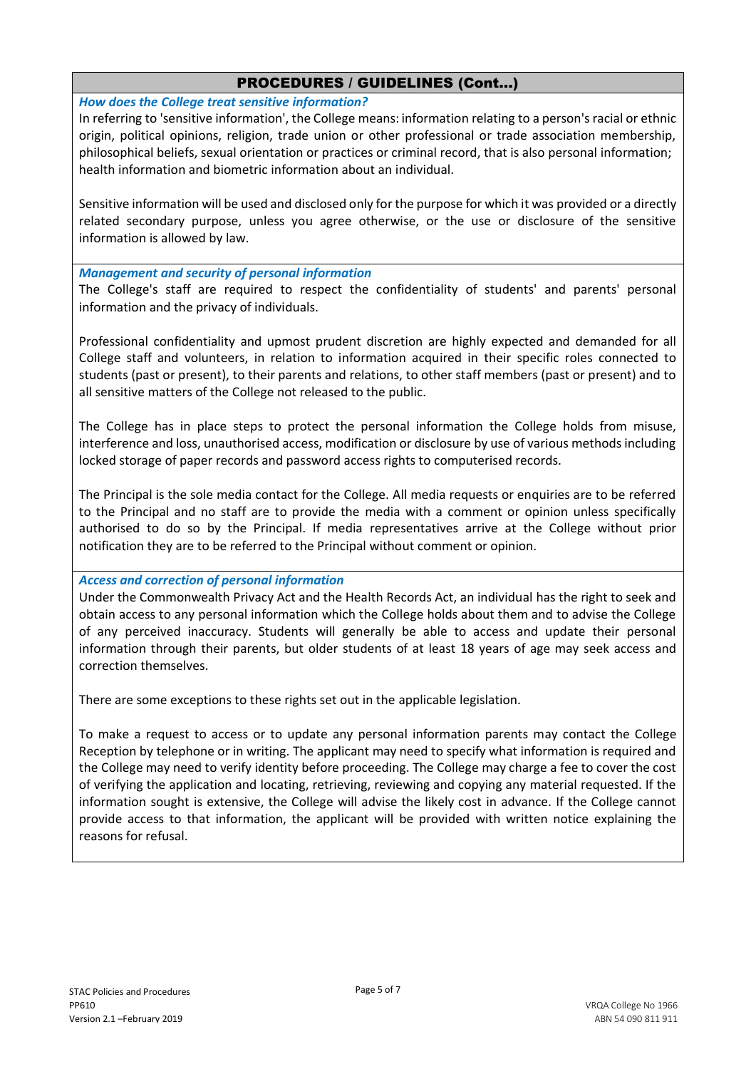*How does the College treat sensitive information?*

In referring to 'sensitive information', the College means: information relating to a person's racial or ethnic origin, political opinions, religion, trade union or other professional or trade association membership, philosophical beliefs, sexual orientation or practices or criminal record, that is also personal information; health information and biometric information about an individual.

Sensitive information will be used and disclosed only for the purpose for which it was provided or a directly related secondary purpose, unless you agree otherwise, or the use or disclosure of the sensitive information is allowed by law.

*Management and security of personal information*

The College's staff are required to respect the confidentiality of students' and parents' personal information and the privacy of individuals.

Professional confidentiality and upmost prudent discretion are highly expected and demanded for all College staff and volunteers, in relation to information acquired in their specific roles connected to students (past or present), to their parents and relations, to other staff members (past or present) and to all sensitive matters of the College not released to the public.

The College has in place steps to protect the personal information the College holds from misuse, interference and loss, unauthorised access, modification or disclosure by use of various methods including locked storage of paper records and password access rights to computerised records.

The Principal is the sole media contact for the College. All media requests or enquiries are to be referred to the Principal and no staff are to provide the media with a comment or opinion unless specifically authorised to do so by the Principal. If media representatives arrive at the College without prior notification they are to be referred to the Principal without comment or opinion.

*Access and correction of personal information*

Under the Commonwealth Privacy Act and the Health Records Act, an individual has the right to seek and obtain access to any personal information which the College holds about them and to advise the College of any perceived inaccuracy. Students will generally be able to access and update their personal information through their parents, but older students of at least 18 years of age may seek access and correction themselves.

There are some exceptions to these rights set out in the applicable legislation.

To make a request to access or to update any personal information parents may contact the College Reception by telephone or in writing. The applicant may need to specify what information is required and the College may need to verify identity before proceeding. The College may charge a fee to cover the cost of verifying the application and locating, retrieving, reviewing and copying any material requested. If the information sought is extensive, the College will advise the likely cost in advance. If the College cannot provide access to that information, the applicant will be provided with written notice explaining the reasons for refusal.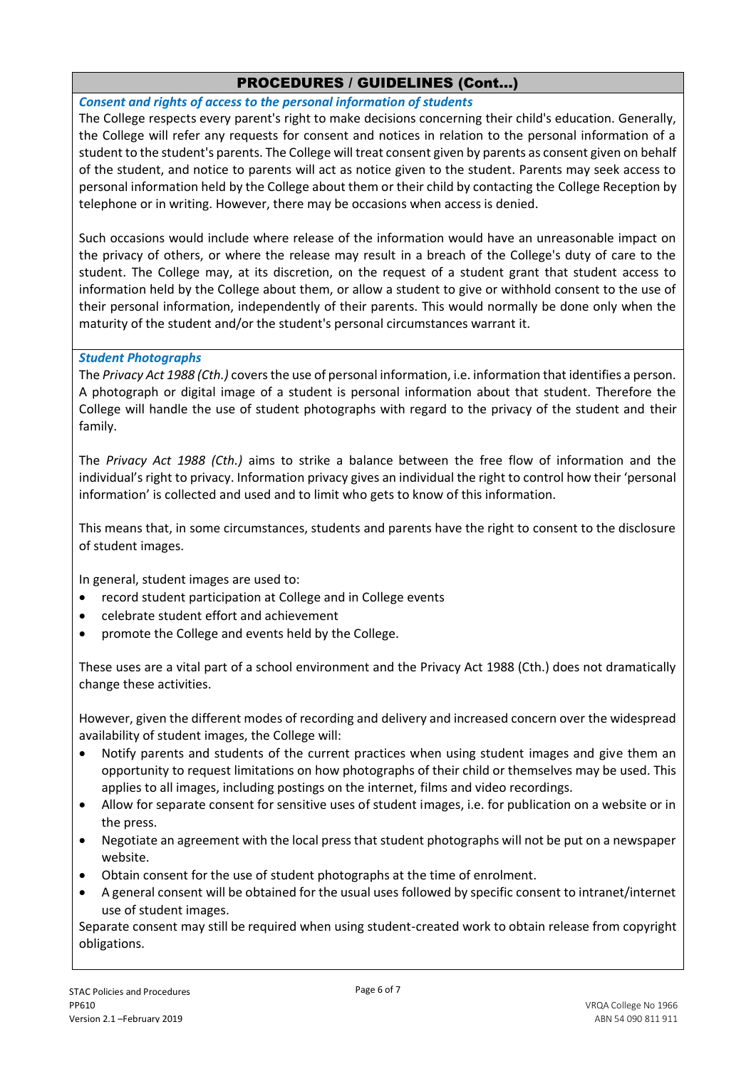*Consent and rights of access to the personal information of students*

The College respects every parent's right to make decisions concerning their child's education. Generally, the College will refer any requests for consent and notices in relation to the personal information of a student to the student's parents. The College will treat consent given by parents as consent given on behalf of the student, and notice to parents will act as notice given to the student. Parents may seek access to personal information held by the College about them or their child by contacting the College Reception by telephone or in writing. However, there may be occasions when access is denied.

Such occasions would include where release of the information would have an unreasonable impact on the privacy of others, or where the release may result in a breach of the College's duty of care to the student. The College may, at its discretion, on the request of a student grant that student access to information held by the College about them, or allow a student to give or withhold consent to the use of their personal information, independently of their parents. This would normally be done only when the maturity of the student and/or the student's personal circumstances warrant it.

## *Student Photographs*

The *Privacy Act 1988 (Cth.)* covers the use of personal information, i.e. information that identifies a person. A photograph or digital image of a student is personal information about that student. Therefore the College will handle the use of student photographs with regard to the privacy of the student and their family.

The *Privacy Act 1988 (Cth.)* aims to strike a balance between the free flow of information and the individual's right to privacy. Information privacy gives an individual the right to control how their 'personal information' is collected and used and to limit who gets to know of this information.

This means that, in some circumstances, students and parents have the right to consent to the disclosure of student images.

In general, student images are used to:

- record student participation at College and in College events
- celebrate student effort and achievement
- promote the College and events held by the College.

These uses are a vital part of a school environment and the Privacy Act 1988 (Cth.) does not dramatically change these activities.

However, given the different modes of recording and delivery and increased concern over the widespread availability of student images, the College will:

- Notify parents and students of the current practices when using student images and give them an opportunity to request limitations on how photographs of their child or themselves may be used. This applies to all images, including postings on the internet, films and video recordings.
- Allow for separate consent for sensitive uses of student images, i.e. for publication on a website or in the press.
- Negotiate an agreement with the local press that student photographs will not be put on a newspaper website.
- Obtain consent for the use of student photographs at the time of enrolment.
- A general consent will be obtained for the usual uses followed by specific consent to intranet/internet use of student images.

Separate consent may still be required when using student-created work to obtain release from copyright obligations.